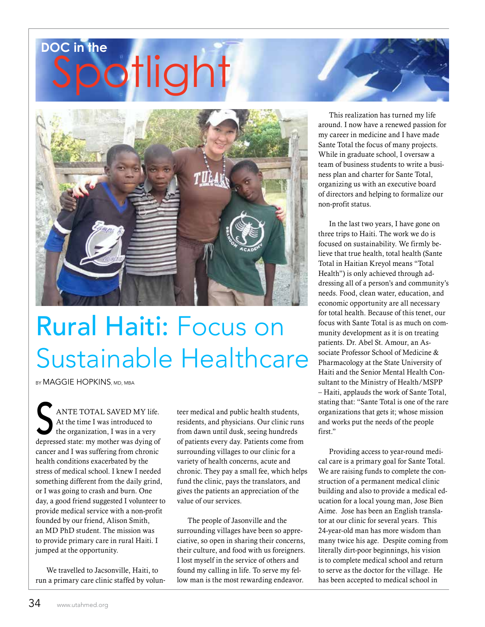## iotlight **DOC in the**



# Rural Haiti: Focus on Sustainable Healthcare

BY MAGGIE HOPKINS, MD, MBA

ANTE TOTAL SAVED MY life.<br>At the time I was introduced to<br>the organization, I was in a very At the time I was introduced to the organization, I was in a very depressed state: my mother was dying of cancer and I was suffering from chronic health conditions exacerbated by the stress of medical school. I knew I needed something different from the daily grind, or I was going to crash and burn. One day, a good friend suggested I volunteer to provide medical service with a non-profit founded by our friend, Alison Smith, an MD PhD student. The mission was to provide primary care in rural Haiti. I jumped at the opportunity.

We travelled to Jacsonville, Haiti, to run a primary care clinic staffed by volunteer medical and public health students, residents, and physicians. Our clinic runs from dawn until dusk, seeing hundreds of patients every day. Patients come from surrounding villages to our clinic for a variety of health concerns, acute and chronic. They pay a small fee, which helps fund the clinic, pays the translators, and gives the patients an appreciation of the value of our services.

The people of Jasonville and the surrounding villages have been so appreciative, so open in sharing their concerns, their culture, and food with us foreigners. I lost myself in the service of others and found my calling in life. To serve my fellow man is the most rewarding endeavor.

This realization has turned my life around. I now have a renewed passion for my career in medicine and I have made Sante Total the focus of many projects. While in graduate school, I oversaw a team of business students to write a business plan and charter for Sante Total, organizing us with an executive board of directors and helping to formalize our non-profit status.

In the last two years, I have gone on three trips to Haiti. The work we do is focused on sustainability. We firmly believe that true health, total health (Sante Total in Haitian Kreyol means "Total Health") is only achieved through addressing all of a person's and community's needs. Food, clean water, education, and economic opportunity are all necessary for total health. Because of this tenet, our focus with Sante Total is as much on community development as it is on treating patients. Dr. Abel St. Amour, an Associate Professor School of Medicine & Pharmacology at the State University of Haiti and the Senior Mental Health Consultant to the Ministry of Health/MSPP – Haiti, applauds the work of Sante Total, stating that: "Sante Total is one of the rare organizations that gets it; whose mission and works put the needs of the people first"

Providing access to year-round medical care is a primary goal for Sante Total. We are raising funds to complete the construction of a permanent medical clinic building and also to provide a medical education for a local young man, Jose Bien Aime. Jose has been an English translator at our clinic for several years. This 24-year-old man has more wisdom than many twice his age. Despite coming from literally dirt-poor beginnings, his vision is to complete medical school and return to serve as the doctor for the village. He has been accepted to medical school in